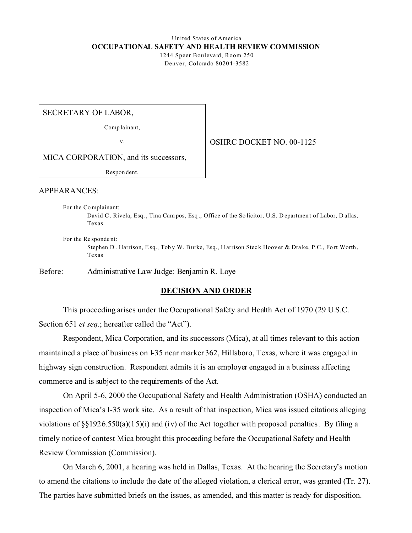# United States of America **OCCUPATIONAL SAFETY AND HEALTH REVIEW COMMISSION**

1244 Speer Boulevard, Room 250 Denver, Colorado 80204-3582

SECRETARY OF LABOR,

Comp lainant,

v.

OSHRC DOCKET NO. 00-1125

MICA CORPORATION, and its successors,

Respon dent.

APPEARANCES:

For the Co mplainant:

David C . Rivela, Esq ., Tina Cam pos, Esq ., Office of the So licitor, U.S. D epartmen t of Labor, D allas, Texas

For the Re sponde nt:

Stephen D. Harrison, Esq., Toby W. Burke, Esq., Harrison Steck Hoover & Drake, P.C., Fort Worth, Texas

Before: Administrative Law Judge: Benjamin R. Loye

### **DECISION AND ORDER**

This proceeding arises under the Occupational Safety and Health Act of 1970 (29 U.S.C. Section 651 *et seq.*; hereafter called the "Act").

Respondent, Mica Corporation, and its successors (Mica), at all times relevant to this action maintained a place of business on I-35 near marker 362, Hillsboro, Texas, where it was engaged in highway sign construction. Respondent admits it is an employer engaged in a business affecting commerce and is subject to the requirements of the Act.

On April 5-6, 2000 the Occupational Safety and Health Administration (OSHA) conducted an inspection of Mica's I-35 work site. As a result of that inspection, Mica was issued citations alleging violations of §§1926.550(a)(15)(i) and (iv) of the Act together with proposed penalties. By filing a timely notice of contest Mica brought this proceeding before the Occupational Safety and Health Review Commission (Commission).

On March 6, 2001, a hearing was held in Dallas, Texas. At the hearing the Secretary's motion to amend the citations to include the date of the alleged violation, a clerical error, was granted (Tr. 27). The parties have submitted briefs on the issues, as amended, and this matter is ready for disposition.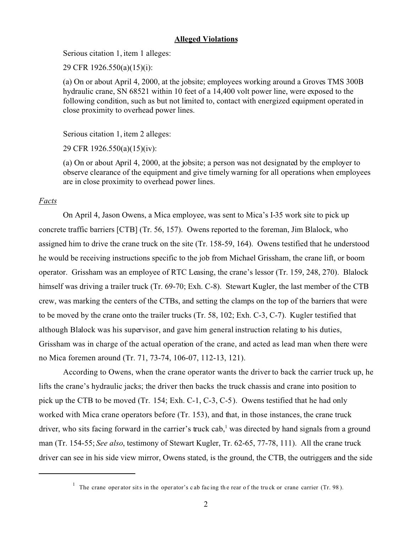### **Alleged Violations**

Serious citation 1, item 1 alleges:

29 CFR 1926.550(a)(15)(i):

(a) On or about April 4, 2000, at the jobsite; employees working around a Groves TMS 300B hydraulic crane, SN 68521 within 10 feet of a 14,400 volt power line, were exposed to the following condition, such as but not limited to, contact with energized equipment operated in close proximity to overhead power lines.

Serious citation 1, item 2 alleges:

29 CFR 1926.550(a)(15)(iv):

(a) On or about April 4, 2000, at the jobsite; a person was not designated by the employer to observe clearance of the equipment and give timely warning for all operations when employees are in close proximity to overhead power lines.

### *Facts*

On April 4, Jason Owens, a Mica employee, was sent to Mica's I-35 work site to pick up concrete traffic barriers [CTB] (Tr. 56, 157). Owens reported to the foreman, Jim Blalock, who assigned him to drive the crane truck on the site (Tr. 158-59, 164). Owens testified that he understood he would be receiving instructions specific to the job from Michael Grissham, the crane lift, or boom operator. Grissham was an employee of RTC Leasing, the crane's lessor (Tr. 159, 248, 270). Blalock himself was driving a trailer truck (Tr. 69-70; Exh. C-8). Stewart Kugler, the last member of the CTB crew, was marking the centers of the CTBs, and setting the clamps on the top of the barriers that were to be moved by the crane onto the trailer trucks (Tr. 58, 102; Exh. C-3, C-7). Kugler testified that although Blalock was his supervisor, and gave him general instruction relating to his duties, Grissham was in charge of the actual operation of the crane, and acted as lead man when there were no Mica foremen around (Tr. 71, 73-74, 106-07, 112-13, 121).

According to Owens, when the crane operator wants the driver to back the carrier truck up, he lifts the crane's hydraulic jacks; the driver then backs the truck chassis and crane into position to pick up the CTB to be moved (Tr. 154; Exh. C-1, C-3, C-5). Owens testified that he had only worked with Mica crane operators before (Tr. 153), and that, in those instances, the crane truck driver, who sits facing forward in the carrier's truck cab,<sup>1</sup> was directed by hand signals from a ground man (Tr. 154-55; *See also*, testimony of Stewart Kugler, Tr. 62-65, 77-78, 111). All the crane truck driver can see in his side view mirror, Owens stated, is the ground, the CTB, the outriggers and the side

<sup>&</sup>lt;sup>1</sup> The crane oper ator sits in the oper ator's c ab facing the rear of the truck or crane carrier (Tr. 98).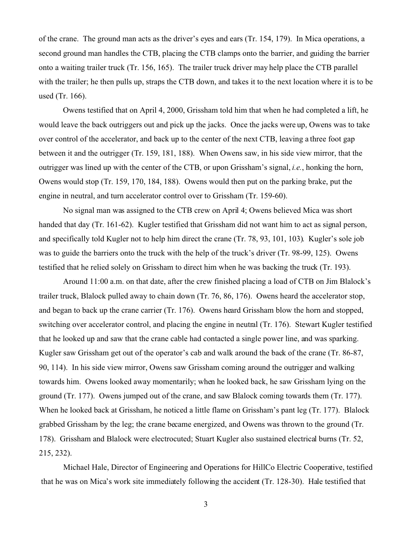of the crane. The ground man acts as the driver's eyes and ears (Tr. 154, 179). In Mica operations, a second ground man handles the CTB, placing the CTB clamps onto the barrier, and guiding the barrier onto a waiting trailer truck (Tr. 156, 165). The trailer truck driver may help place the CTB parallel with the trailer; he then pulls up, straps the CTB down, and takes it to the next location where it is to be used (Tr. 166).

Owens testified that on April 4, 2000, Grissham told him that when he had completed a lift, he would leave the back outriggers out and pick up the jacks. Once the jacks were up, Owens was to take over control of the accelerator, and back up to the center of the next CTB, leaving a three foot gap between it and the outrigger (Tr. 159, 181, 188). When Owens saw, in his side view mirror, that the outrigger was lined up with the center of the CTB, or upon Grissham's signal, *i.e.*, honking the horn, Owens would stop (Tr. 159, 170, 184, 188). Owens would then put on the parking brake, put the engine in neutral, and turn accelerator control over to Grissham (Tr. 159-60).

No signal man was assigned to the CTB crew on April 4; Owens believed Mica was short handed that day (Tr. 161-62). Kugler testified that Grissham did not want him to act as signal person, and specifically told Kugler not to help him direct the crane (Tr. 78, 93, 101, 103). Kugler's sole job was to guide the barriers onto the truck with the help of the truck's driver (Tr. 98-99, 125). Owens testified that he relied solely on Grissham to direct him when he was backing the truck (Tr. 193).

Around 11:00 a.m. on that date, after the crew finished placing a load of CTB on Jim Blalock's trailer truck, Blalock pulled away to chain down (Tr. 76, 86, 176). Owens heard the accelerator stop, and began to back up the crane carrier (Tr. 176). Owens heard Grissham blow the horn and stopped, switching over accelerator control, and placing the engine in neutral (Tr. 176). Stewart Kugler testified that he looked up and saw that the crane cable had contacted a single power line, and was sparking. Kugler saw Grissham get out of the operator's cab and walk around the back of the crane (Tr. 86-87, 90, 114). In his side view mirror, Owens saw Grissham coming around the outrigger and walking towards him. Owens looked away momentarily; when he looked back, he saw Grissham lying on the ground (Tr. 177). Owens jumped out of the crane, and saw Blalock coming towards them (Tr. 177). When he looked back at Grissham, he noticed a little flame on Grissham's pant leg (Tr. 177). Blalock grabbed Grissham by the leg; the crane became energized, and Owens was thrown to the ground (Tr. 178). Grissham and Blalock were electrocuted; Stuart Kugler also sustained electrical burns (Tr. 52, 215, 232).

Michael Hale, Director of Engineering and Operations for HillCo Electric Cooperative, testified that he was on Mica's work site immediately following the accident (Tr. 128-30). Hale testified that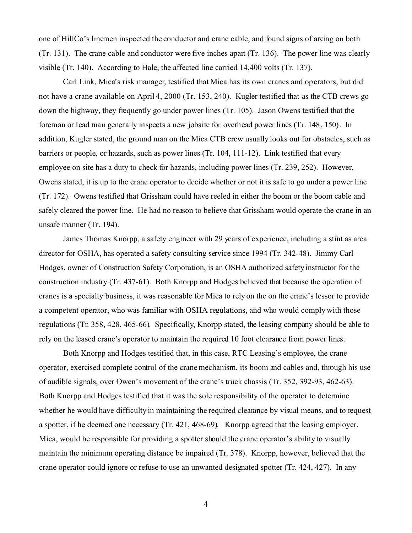one of HillCo's linemen inspected the conductor and crane cable, and found signs of arcing on both (Tr. 131). The crane cable and conductor were five inches apart (Tr. 136). The power line was clearly visible (Tr. 140). According to Hale, the affected line carried 14,400 volts (Tr. 137).

Carl Link, Mica's risk manager, testified that Mica has its own cranes and operators, but did not have a crane available on April 4, 2000 (Tr. 153, 240). Kugler testified that as the CTB crews go down the highway, they frequently go under power lines (Tr. 105). Jason Owens testified that the foreman or lead man generally inspects a new jobsite for overhead power lines (Tr. 148, 150). In addition, Kugler stated, the ground man on the Mica CTB crew usually looks out for obstacles, such as barriers or people, or hazards, such as power lines (Tr. 104, 111-12). Link testified that every employee on site has a duty to check for hazards, including power lines (Tr. 239, 252). However, Owens stated, it is up to the crane operator to decide whether or not it is safe to go under a power line (Tr. 172). Owens testified that Grissham could have reeled in either the boom or the boom cable and safely cleared the power line. He had no reason to believe that Grissham would operate the crane in an unsafe manner (Tr. 194).

James Thomas Knorpp, a safety engineer with 29 years of experience, including a stint as area director for OSHA, has operated a safety consulting service since 1994 (Tr. 342-48). Jimmy Carl Hodges, owner of Construction Safety Corporation, is an OSHA authorized safety instructor for the construction industry (Tr. 437-61). Both Knorpp and Hodges believed that because the operation of cranes is a specialty business, it was reasonable for Mica to rely on the on the crane's lessor to provide a competent operator, who was familiar with OSHA regulations, and who would comply with those regulations (Tr. 358, 428, 465-66). Specifically, Knorpp stated, the leasing company should be able to rely on the leased crane's operator to maintain the required 10 foot clearance from power lines.

Both Knorpp and Hodges testified that, in this case, RTC Leasing's employee, the crane operator, exercised complete control of the crane mechanism, its boom and cables and, through his use of audible signals, over Owen's movement of the crane's truck chassis (Tr. 352, 392-93, 462-63). Both Knorpp and Hodges testified that it was the sole responsibility of the operator to determine whether he would have difficulty in maintaining the required clearance by visual means, and to request a spotter, if he deemed one necessary (Tr. 421, 468-69). Knorpp agreed that the leasing employer, Mica, would be responsible for providing a spotter should the crane operator's ability to visually maintain the minimum operating distance be impaired (Tr. 378). Knorpp, however, believed that the crane operator could ignore or refuse to use an unwanted designated spotter (Tr. 424, 427). In any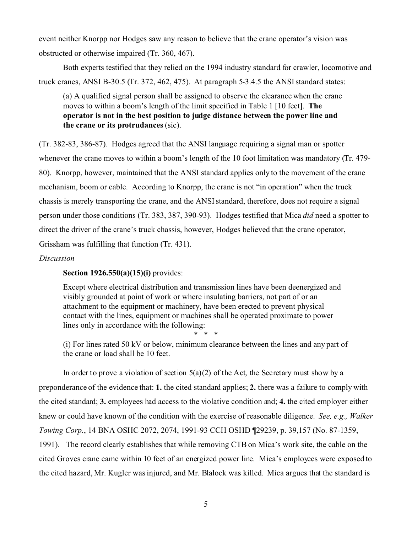event neither Knorpp nor Hodges saw any reason to believe that the crane operator's vision was obstructed or otherwise impaired (Tr. 360, 467).

Both experts testified that they relied on the 1994 industry standard for crawler, locomotive and truck cranes, ANSI B-30.5 (Tr. 372, 462, 475). At paragraph 5-3.4.5 the ANSI standard states:

(a) A qualified signal person shall be assigned to observe the clearance when the crane moves to within a boom's length of the limit specified in Table 1 [10 feet]. **The operator is not in the best position to judge distance between the power line and the crane or its protrudances** (sic).

(Tr. 382-83, 386-87). Hodges agreed that the ANSI language requiring a signal man or spotter whenever the crane moves to within a boom's length of the 10 foot limitation was mandatory (Tr. 479- 80). Knorpp, however, maintained that the ANSI standard applies only to the movement of the crane mechanism, boom or cable. According to Knorpp, the crane is not "in operation" when the truck chassis is merely transporting the crane, and the ANSI standard, therefore, does not require a signal person under those conditions (Tr. 383, 387, 390-93). Hodges testified that Mica *did* need a spotter to direct the driver of the crane's truck chassis, however, Hodges believed that the crane operator, Grissham was fulfilling that function (Tr. 431).

### *Discussion*

## **Section 1926.550(a)(15)(i)** provides:

Except where electrical distribution and transmission lines have been deenergized and visibly grounded at point of work or where insulating barriers, not part of or an attachment to the equipment or machinery, have been erected to prevent physical contact with the lines, equipment or machines shall be operated proximate to power lines only in accordance with the following:

\* \* \* (i) For lines rated 50 kV or below, minimum clearance between the lines and any part of the crane or load shall be 10 feet.

In order to prove a violation of section  $5(a)(2)$  of the Act, the Secretary must show by a preponderance of the evidence that: **1.** the cited standard applies; **2.** there was a failure to comply with the cited standard; **3.** employees had access to the violative condition and; **4.** the cited employer either knew or could have known of the condition with the exercise of reasonable diligence. *See, e.g., Walker Towing Corp.*, 14 BNA OSHC 2072, 2074, 1991-93 CCH OSHD ¶29239, p. 39,157 (No. 87-1359, 1991). The record clearly establishes that while removing CTB on Mica's work site, the cable on the cited Groves crane came within 10 feet of an energized power line. Mica's employees were exposed to the cited hazard, Mr. Kugler was injured, and Mr. Blalock was killed. Mica argues that the standard is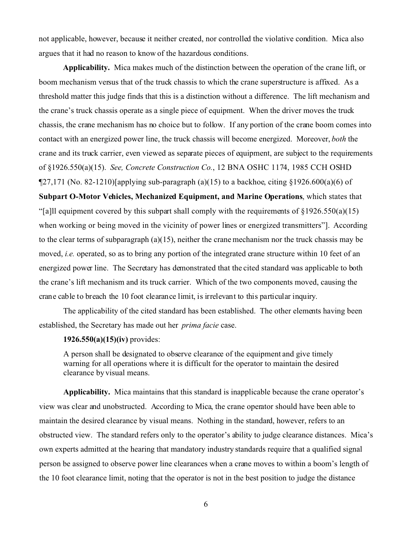not applicable, however, because it neither created, nor controlled the violative condition. Mica also argues that it had no reason to know of the hazardous conditions.

**Applicability.** Mica makes much of the distinction between the operation of the crane lift, or boom mechanism versus that of the truck chassis to which the crane superstructure is affixed. As a threshold matter this judge finds that this is a distinction without a difference. The lift mechanism and the crane's truck chassis operate as a single piece of equipment. When the driver moves the truck chassis, the crane mechanism has no choice but to follow. If any portion of the crane boom comes into contact with an energized power line, the truck chassis will become energized. Moreover, *both* the crane and its truck carrier, even viewed as separate pieces of equipment, are subject to the requirements of §1926.550(a)(15). *See, Concrete Construction Co.*, 12 BNA OSHC 1174, 1985 CCH OSHD  $\P$ 27,171 (No. 82-1210)[applying sub-paragraph (a)(15) to a backhoe, citing §1926.600(a)(6) of **Subpart O-Motor Vehicles, Mechanized Equipment, and Marine Operations**, which states that "[a]ll equipment covered by this subpart shall comply with the requirements of  $\S 1926.550(a)(15)$ when working or being moved in the vicinity of power lines or energized transmitters"]. According to the clear terms of subparagraph (a)(15), neither the crane mechanism nor the truck chassis may be moved, *i.e.* operated, so as to bring any portion of the integrated crane structure within 10 feet of an energized power line. The Secretary has demonstrated that the cited standard was applicable to both the crane's lift mechanism and its truck carrier. Which of the two components moved, causing the crane cable to breach the 10 foot clearance limit, is irrelevant to this particular inquiry.

The applicability of the cited standard has been established. The other elements having been established, the Secretary has made out her *prima facie* case.

### **1926.550(a)(15)(iv)** provides:

A person shall be designated to observe clearance of the equipment and give timely warning for all operations where it is difficult for the operator to maintain the desired clearance by visual means.

**Applicability.** Mica maintains that this standard is inapplicable because the crane operator's view was clear and unobstructed. According to Mica, the crane operator should have been able to maintain the desired clearance by visual means. Nothing in the standard, however, refers to an obstructed view. The standard refers only to the operator's ability to judge clearance distances. Mica's own experts admitted at the hearing that mandatory industry standards require that a qualified signal person be assigned to observe power line clearances when a crane moves to within a boom's length of the 10 foot clearance limit, noting that the operator is not in the best position to judge the distance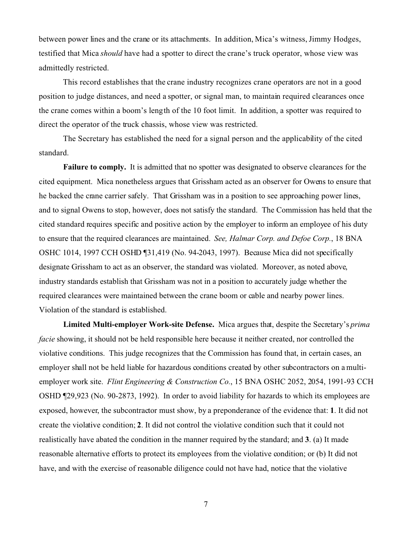between power lines and the crane or its attachments. In addition, Mica's witness, Jimmy Hodges, testified that Mica *should* have had a spotter to direct the crane's truck operator, whose view was admittedly restricted.

This record establishes that the crane industry recognizes crane operators are not in a good position to judge distances, and need a spotter, or signal man, to maintain required clearances once the crane comes within a boom's length of the 10 foot limit. In addition, a spotter was required to direct the operator of the truck chassis, whose view was restricted.

The Secretary has established the need for a signal person and the applicability of the cited standard.

**Failure to comply.** It is admitted that no spotter was designated to observe clearances for the cited equipment. Mica nonetheless argues that Grissham acted as an observer for Owens to ensure that he backed the crane carrier safely. That Grissham was in a position to see approaching power lines, and to signal Owens to stop, however, does not satisfy the standard. The Commission has held that the cited standard requires specific and positive action by the employer to inform an employee of his duty to ensure that the required clearances are maintained. *See, Halmar Corp. and Defoe Corp.*, 18 BNA OSHC 1014, 1997 CCH OSHD ¶31,419 (No. 94-2043, 1997). Because Mica did not specifically designate Grissham to act as an observer, the standard was violated. Moreover, as noted above, industry standards establish that Grissham was not in a position to accurately judge whether the required clearances were maintained between the crane boom or cable and nearby power lines. Violation of the standard is established.

**Limited Multi-employer Work-site Defense.** Mica argues that, despite the Secretary's *prima facie* showing, it should not be held responsible here because it neither created, nor controlled the violative conditions. This judge recognizes that the Commission has found that, in certain cases, an employer shall not be held liable for hazardous conditions created by other subcontractors on a multiemployer work site. *Flint Engineering & Construction Co.*, 15 BNA OSHC 2052, 2054, 1991-93 CCH OSHD ¶29,923 (No. 90-2873, 1992). In order to avoid liability for hazards to which its employees are exposed, however, the subcontractor must show, by a preponderance of the evidence that: **1**. It did not create the violative condition; **2**. It did not control the violative condition such that it could not realistically have abated the condition in the manner required by the standard; and **3**. (a) It made reasonable alternative efforts to protect its employees from the violative condition; or (b) It did not have, and with the exercise of reasonable diligence could not have had, notice that the violative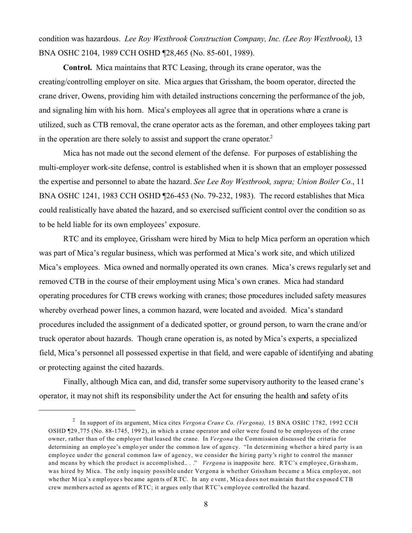condition was hazardous. *Lee Roy Westbrook Construction Company, Inc. (Lee Roy Westbrook)*, 13 BNA OSHC 2104, 1989 CCH OSHD ¶28,465 (No. 85-601, 1989).

**Control.** Mica maintains that RTC Leasing, through its crane operator, was the creating/controlling employer on site. Mica argues that Grissham, the boom operator, directed the crane driver, Owens, providing him with detailed instructions concerning the performance of the job, and signaling him with his horn. Mica's employees all agree that in operations where a crane is utilized, such as CTB removal, the crane operator acts as the foreman, and other employees taking part in the operation are there solely to assist and support the crane operator.<sup>2</sup>

Mica has not made out the second element of the defense. For purposes of establishing the multi-employer work-site defense, control is established when it is shown that an employer possessed the expertise and personnel to abate the hazard. *See Lee Roy Westbrook, supra; Union Boiler Co.*, 11 BNA OSHC 1241, 1983 CCH OSHD ¶26-453 (No. 79-232, 1983). The record establishes that Mica could realistically have abated the hazard, and so exercised sufficient control over the condition so as to be held liable for its own employees' exposure.

RTC and its employee, Grissham were hired by Mica to help Mica perform an operation which was part of Mica's regular business, which was performed at Mica's work site, and which utilized Mica's employees. Mica owned and normally operated its own cranes. Mica's crews regularly set and removed CTB in the course of their employment using Mica's own cranes. Mica had standard operating procedures for CTB crews working with cranes; those procedures included safety measures whereby overhead power lines, a common hazard, were located and avoided. Mica's standard procedures included the assignment of a dedicated spotter, or ground person, to warn the crane and/or truck operator about hazards. Though crane operation is, as noted by Mica's experts, a specialized field, Mica's personnel all possessed expertise in that field, and were capable of identifying and abating or protecting against the cited hazards.

Finally, although Mica can, and did, transfer some supervisory authority to the leased crane's operator, it may not shift its responsibility under the Act for ensuring the health and safety of its

<sup>2</sup> In support of its argument, M ica cites *Vergon a Cran e Co. (Ver gona),* 15 BNA OSHC 1782, 1992 CCH OSHD ¶29 ,775 (No. 88-1745, 199 2), in which a crane operator and oiler were found to be employees of the crane owner, rather than of the employer that leased the crane. In *Vergona* the Commission discussed the criteria for determining an emplo yee's emplo yer under the commo n law of agen cy. "In determining whether a hired party is an employee under the general common law of agency, we consider the hiring party's right to control the manner and means by which the product is accomplished..." *Vergona* is inapposite here. RTC's employee, Grissham, was hired by Mica. The only inquiry possible under Vergona is whether Grissham became a Mica employee, not whe ther M ica's employees became agents of RTC. In any event, Mica does not maintain that the exposed CTB crew members acted as agents of RTC; it argues only that RTC's employee controlled the hazard.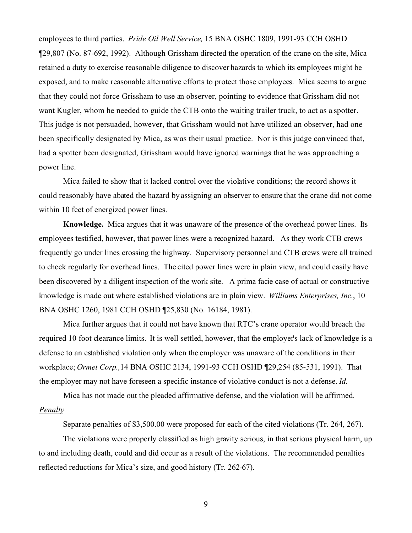employees to third parties. *Pride Oil Well Service,* 15 BNA OSHC 1809, 1991-93 CCH OSHD ¶29,807 (No. 87-692, 1992). Although Grissham directed the operation of the crane on the site, Mica retained a duty to exercise reasonable diligence to discover hazards to which its employees might be exposed, and to make reasonable alternative efforts to protect those employees. Mica seems to argue that they could not force Grissham to use an observer, pointing to evidence that Grissham did not want Kugler, whom he needed to guide the CTB onto the waiting trailer truck, to act as a spotter. This judge is not persuaded, however, that Grissham would not have utilized an observer, had one been specifically designated by Mica, as was their usual practice. Nor is this judge convinced that, had a spotter been designated, Grissham would have ignored warnings that he was approaching a power line.

Mica failed to show that it lacked control over the violative conditions; the record shows it could reasonably have abated the hazard by assigning an observer to ensure that the crane did not come within 10 feet of energized power lines.

**Knowledge.** Mica argues that it was unaware of the presence of the overhead power lines. Its employees testified, however, that power lines were a recognized hazard. As they work CTB crews frequently go under lines crossing the highway. Supervisory personnel and CTB crews were all trained to check regularly for overhead lines. The cited power lines were in plain view, and could easily have been discovered by a diligent inspection of the work site. A prima facie case of actual or constructive knowledge is made out where established violations are in plain view. *Williams Enterprises, Inc.*, 10 BNA OSHC 1260, 1981 CCH OSHD ¶25,830 (No. 16184, 1981).

Mica further argues that it could not have known that RTC's crane operator would breach the required 10 foot clearance limits. It is well settled, however, that the employer's lack of knowledge is a defense to an established violation only when the employer was unaware of the conditions in their workplace; *Ormet Corp.,*14 BNA OSHC 2134, 1991-93 CCH OSHD ¶29,254 (85-531, 1991). That the employer may not have foreseen a specific instance of violative conduct is not a defense. *Id.* 

Mica has not made out the pleaded affirmative defense, and the violation will be affirmed. *Penalty* 

Separate penalties of \$3,500.00 were proposed for each of the cited violations (Tr. 264, 267).

The violations were properly classified as high gravity serious, in that serious physical harm, up to and including death, could and did occur as a result of the violations. The recommended penalties reflected reductions for Mica's size, and good history (Tr. 262-67).